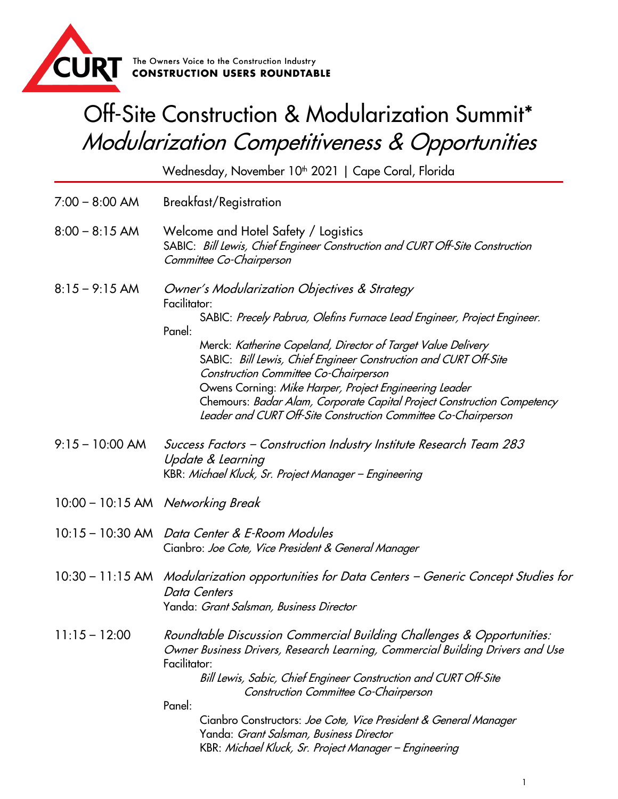

## Off-Site Construction & Modularization Summit\* Modularization Competitiveness & Opportunities

Wednesday, November 10<sup>th</sup> 2021 | Cape Coral, Florida

- 7:00 8:00 AM Breakfast/Registration
- 8:00 8:15 AM Welcome and Hotel Safety / Logistics SABIC: Bill Lewis, Chief Engineer Construction and CURT Off-Site Construction Committee Co-Chairperson
- 8:15 9:15 AM Owner's Modularization Objectives & Strategy Facilitator:

SABIC: Precely Pabrua, Olefins Furnace Lead Engineer, Project Engineer. Panel:

Merck: Katherine Copeland, Director of Target Value Delivery SABIC: Bill Lewis, Chief Engineer Construction and CURT Off-Site Construction Committee Co-Chairperson Owens Corning: Mike Harper, Project Engineering Leader Chemours: Badar Alam, Corporate Capital Project Construction Competency Leader and CURT Off-Site Construction Committee Co-Chairperson

- 9:15 10:00 AM Success Factors Construction Industry Institute Research Team 283 Update & Learning KBR: Michael Kluck, Sr. Project Manager – Engineering
- 10:00 10:15 AM Networking Break
- 10:15 10:30 AM Data Center & E-Room Modules Cianbro: Joe Cote, Vice President & General Manager
- 10:30 11:15 AM Modularization opportunities for Data Centers Generic Concept Studies for Data Centers Yanda: Grant Salsman, Business Director
- 11:15 12:00 Roundtable Discussion Commercial Building Challenges & Opportunities: Owner Business Drivers, Research Learning, Commercial Building Drivers and Use Facilitator: Bill Lewis, Sabic, Chief Engineer Construction and CURT Off-Site Construction Committee Co-Chairperson

Panel:

Cianbro Constructors: Joe Cote, Vice President & General Manager Yanda: Grant Salsman, Business Director KBR: Michael Kluck, Sr. Project Manager – Engineering